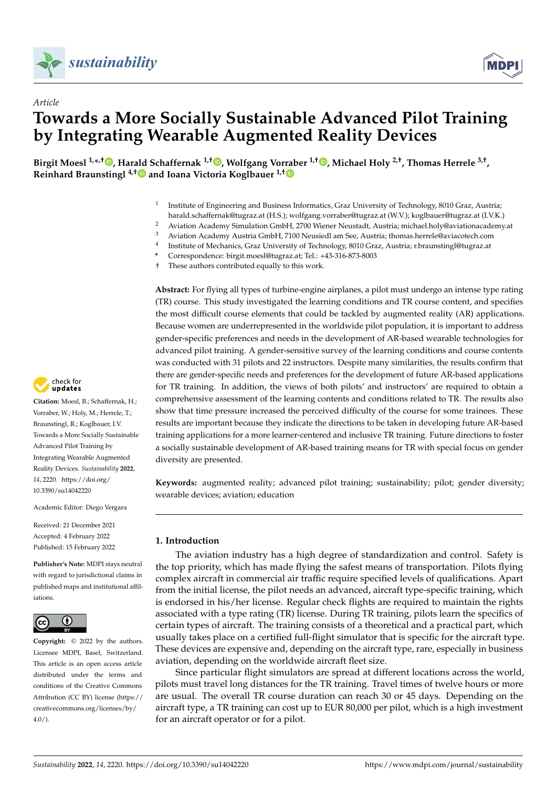

*Article*



# **Towards a More Socially Sustainable Advanced Pilot Training by Integrating Wearable Augmented Reality Devices**

Birgit Moesl <sup>1[,](https://orcid.org/0000-0002-1550-2279)</sup>\*<sup>,†</sup> ●, Harald Schaffernak <sup>1,†</sup> ●, Wolfgang Vor[rab](https://orcid.org/0000-0002-1682-6304)er <sup>1,†</sup> ●, Michael Holy <sup>2,†</sup>, Thomas Herrele <sup>3,†</sup>, **Reinhard Braunstingl 4,[†](https://orcid.org/0000-0002-5559-6855) and Ioana Victoria Koglbauer 1,†**

- 1 Institute of Engineering and Business Informatics, Graz University of Technology, 8010 Graz, Austria; harald.schaffernak@tugraz.at (H.S.); wolfgang.vorraber@tugraz.at (W.V.); koglbauer@tugraz.at (I.V.K.)
- <sup>2</sup> Aviation Academy Simulation GmbH, 2700 Wiener Neustadt, Austria; michael.holy@aviationacademy.at
- <sup>3</sup> Aviation Academy Austria GmbH, 7100 Neusiedl am See, Austria; thomas.herrele@aviacotech.com 4
	- Institute of Mechanics, Graz University of Technology, 8010 Graz, Austria; r.braunstingl@tugraz.at
- **\*** Correspondence: birgit.moesl@tugraz.at; Tel.: +43-316-873-8003
- † These authors contributed equally to this work.

**Abstract:** For flying all types of turbine-engine airplanes, a pilot must undergo an intense type rating (TR) course. This study investigated the learning conditions and TR course content, and specifies the most difficult course elements that could be tackled by augmented reality (AR) applications. Because women are underrepresented in the worldwide pilot population, it is important to address gender-specific preferences and needs in the development of AR-based wearable technologies for advanced pilot training. A gender-sensitive survey of the learning conditions and course contents was conducted with 31 pilots and 22 instructors. Despite many similarities, the results confirm that there are gender-specific needs and preferences for the development of future AR-based applications for TR training. In addition, the views of both pilots' and instructors' are required to obtain a comprehensive assessment of the learning contents and conditions related to TR. The results also show that time pressure increased the perceived difficulty of the course for some trainees. These results are important because they indicate the directions to be taken in developing future AR-based training applications for a more learner-centered and inclusive TR training. Future directions to foster a socially sustainable development of AR-based training means for TR with special focus on gender diversity are presented.

**Keywords:** augmented reality; advanced pilot training; sustainability; pilot; gender diversity; wearable devices; aviation; education

# **1. Introduction**

The aviation industry has a high degree of standardization and control. Safety is the top priority, which has made flying the safest means of transportation. Pilots flying complex aircraft in commercial air traffic require specified levels of qualifications. Apart from the initial license, the pilot needs an advanced, aircraft type-specific training, which is endorsed in his/her license. Regular check flights are required to maintain the rights associated with a type rating (TR) license. During TR training, pilots learn the specifics of certain types of aircraft. The training consists of a theoretical and a practical part, which usually takes place on a certified full-flight simulator that is specific for the aircraft type. These devices are expensive and, depending on the aircraft type, rare, especially in business aviation, depending on the worldwide aircraft fleet size.

Since particular flight simulators are spread at different locations across the world, pilots must travel long distances for the TR training. Travel times of twelve hours or more are usual. The overall TR course duration can reach 30 or 45 days. Depending on the aircraft type, a TR training can cost up to EUR 80,000 per pilot, which is a high investment for an aircraft operator or for a pilot.



**Citation:** Moesl, B.; Schaffernak, H.; Vorraber, W.; Holy, M.; Herrele, T.; Braunstingl, R.; Koglbauer, I.V. Towards a More Socially Sustainable Advanced Pilot Training by Integrating Wearable Augmented Reality Devices. *Sustainability* **2022**, *14*, 2220. [https://doi.org/](https://doi.org/10.3390/su14042220) [10.3390/su14042220](https://doi.org/10.3390/su14042220)

Academic Editor: Diego Vergara

Received: 21 December 2021 Accepted: 4 February 2022 Published: 15 February 2022

**Publisher's Note:** MDPI stays neutral with regard to jurisdictional claims in published maps and institutional affiliations.



**Copyright:** © 2022 by the authors. Licensee MDPI, Basel, Switzerland. This article is an open access article distributed under the terms and conditions of the Creative Commons Attribution (CC BY) license [\(https://](https://creativecommons.org/licenses/by/4.0/) [creativecommons.org/licenses/by/](https://creativecommons.org/licenses/by/4.0/)  $4.0/$ ).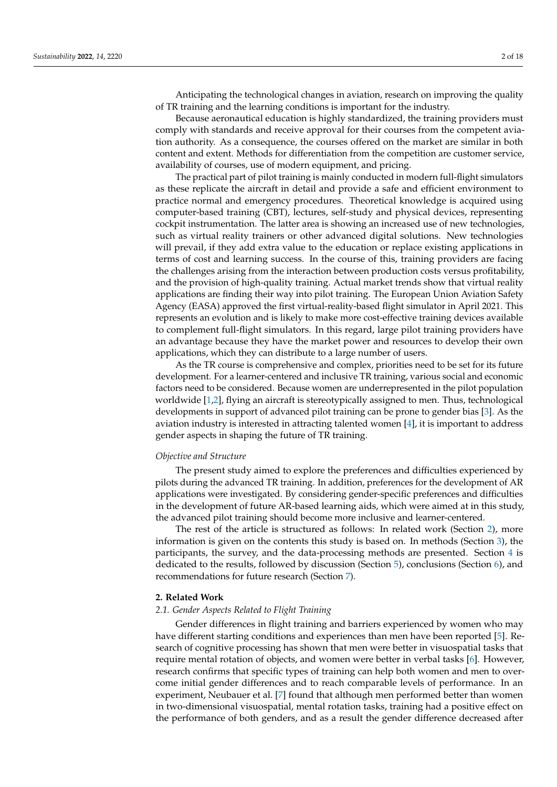Anticipating the technological changes in aviation, research on improving the quality of TR training and the learning conditions is important for the industry.

Because aeronautical education is highly standardized, the training providers must comply with standards and receive approval for their courses from the competent aviation authority. As a consequence, the courses offered on the market are similar in both content and extent. Methods for differentiation from the competition are customer service, availability of courses, use of modern equipment, and pricing.

The practical part of pilot training is mainly conducted in modern full-flight simulators as these replicate the aircraft in detail and provide a safe and efficient environment to practice normal and emergency procedures. Theoretical knowledge is acquired using computer-based training (CBT), lectures, self-study and physical devices, representing cockpit instrumentation. The latter area is showing an increased use of new technologies, such as virtual reality trainers or other advanced digital solutions. New technologies will prevail, if they add extra value to the education or replace existing applications in terms of cost and learning success. In the course of this, training providers are facing the challenges arising from the interaction between production costs versus profitability, and the provision of high-quality training. Actual market trends show that virtual reality applications are finding their way into pilot training. The European Union Aviation Safety Agency (EASA) approved the first virtual-reality-based flight simulator in April 2021. This represents an evolution and is likely to make more cost-effective training devices available to complement full-flight simulators. In this regard, large pilot training providers have an advantage because they have the market power and resources to develop their own applications, which they can distribute to a large number of users.

As the TR course is comprehensive and complex, priorities need to be set for its future development. For a learner-centered and inclusive TR training, various social and economic factors need to be considered. Because women are underrepresented in the pilot population worldwide [\[1](#page-14-0)[,2\]](#page-14-1), flying an aircraft is stereotypically assigned to men. Thus, technological developments in support of advanced pilot training can be prone to gender bias [\[3\]](#page-14-2). As the aviation industry is interested in attracting talented women [\[4\]](#page-14-3), it is important to address gender aspects in shaping the future of TR training.

## *Objective and Structure*

The present study aimed to explore the preferences and difficulties experienced by pilots during the advanced TR training. In addition, preferences for the development of AR applications were investigated. By considering gender-specific preferences and difficulties in the development of future AR-based learning aids, which were aimed at in this study, the advanced pilot training should become more inclusive and learner-centered.

The rest of the article is structured as follows: In related work (Section [2\)](#page-1-0), more information is given on the contents this study is based on. In methods (Section [3\)](#page-3-0), the participants, the survey, and the data-processing methods are presented. Section [4](#page-6-0) is dedicated to the results, followed by discussion (Section [5\)](#page-10-0), conclusions (Section [6\)](#page-13-0), and recommendations for future research (Section [7\)](#page-13-1).

# <span id="page-1-0"></span>**2. Related Work**

#### *2.1. Gender Aspects Related to Flight Training*

Gender differences in flight training and barriers experienced by women who may have different starting conditions and experiences than men have been reported [\[5\]](#page-14-4). Research of cognitive processing has shown that men were better in visuospatial tasks that require mental rotation of objects, and women were better in verbal tasks [\[6\]](#page-14-5). However, research confirms that specific types of training can help both women and men to overcome initial gender differences and to reach comparable levels of performance. In an experiment, Neubauer et al. [\[7\]](#page-14-6) found that although men performed better than women in two-dimensional visuospatial, mental rotation tasks, training had a positive effect on the performance of both genders, and as a result the gender difference decreased after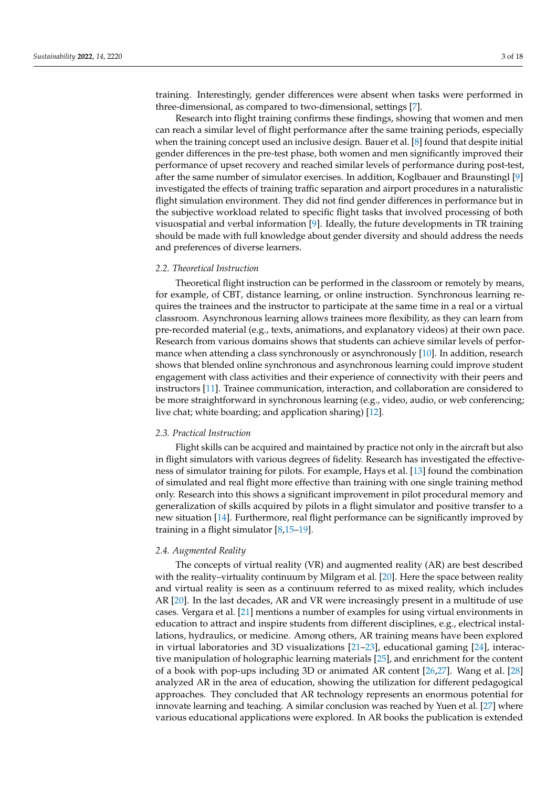training. Interestingly, gender differences were absent when tasks were performed in three-dimensional, as compared to two-dimensional, settings [\[7\]](#page-14-6).

Research into flight training confirms these findings, showing that women and men can reach a similar level of flight performance after the same training periods, especially when the training concept used an inclusive design. Bauer et al. [\[8\]](#page-14-7) found that despite initial gender differences in the pre-test phase, both women and men significantly improved their performance of upset recovery and reached similar levels of performance during post-test, after the same number of simulator exercises. In addition, Koglbauer and Braunstingl [\[9\]](#page-14-8) investigated the effects of training traffic separation and airport procedures in a naturalistic flight simulation environment. They did not find gender differences in performance but in the subjective workload related to specific flight tasks that involved processing of both visuospatial and verbal information [\[9\]](#page-14-8). Ideally, the future developments in TR training should be made with full knowledge about gender diversity and should address the needs and preferences of diverse learners.

#### *2.2. Theoretical Instruction*

Theoretical flight instruction can be performed in the classroom or remotely by means, for example, of CBT, distance learning, or online instruction. Synchronous learning requires the trainees and the instructor to participate at the same time in a real or a virtual classroom. Asynchronous learning allows trainees more flexibility, as they can learn from pre-recorded material (e.g., texts, animations, and explanatory videos) at their own pace. Research from various domains shows that students can achieve similar levels of perfor-mance when attending a class synchronously or asynchronously [\[10\]](#page-14-9). In addition, research shows that blended online synchronous and asynchronous learning could improve student engagement with class activities and their experience of connectivity with their peers and instructors [\[11\]](#page-14-10). Trainee communication, interaction, and collaboration are considered to be more straightforward in synchronous learning (e.g., video, audio, or web conferencing; live chat; white boarding; and application sharing) [\[12\]](#page-15-0).

## *2.3. Practical Instruction*

Flight skills can be acquired and maintained by practice not only in the aircraft but also in flight simulators with various degrees of fidelity. Research has investigated the effectiveness of simulator training for pilots. For example, Hays et al. [\[13\]](#page-15-1) found the combination of simulated and real flight more effective than training with one single training method only. Research into this shows a significant improvement in pilot procedural memory and generalization of skills acquired by pilots in a flight simulator and positive transfer to a new situation [\[14\]](#page-15-2). Furthermore, real flight performance can be significantly improved by training in a flight simulator [\[8](#page-14-7)[,15](#page-15-3)[–19\]](#page-15-4).

# *2.4. Augmented Reality*

The concepts of virtual reality (VR) and augmented reality (AR) are best described with the reality–virtuality continuum by Milgram et al. [\[20\]](#page-15-5). Here the space between reality and virtual reality is seen as a continuum referred to as mixed reality, which includes AR [\[20\]](#page-15-5). In the last decades, AR and VR were increasingly present in a multitude of use cases. Vergara et al. [\[21\]](#page-15-6) mentions a number of examples for using virtual environments in education to attract and inspire students from different disciplines, e.g., electrical installations, hydraulics, or medicine. Among others, AR training means have been explored in virtual laboratories and 3D visualizations [\[21–](#page-15-6)[23\]](#page-15-7), educational gaming [\[24\]](#page-15-8), interactive manipulation of holographic learning materials [\[25\]](#page-15-9), and enrichment for the content of a book with pop-ups including 3D or animated AR content [\[26,](#page-15-10)[27\]](#page-15-11). Wang et al. [\[28\]](#page-15-12) analyzed AR in the area of education, showing the utilization for different pedagogical approaches. They concluded that AR technology represents an enormous potential for innovate learning and teaching. A similar conclusion was reached by Yuen et al. [\[27\]](#page-15-11) where various educational applications were explored. In AR books the publication is extended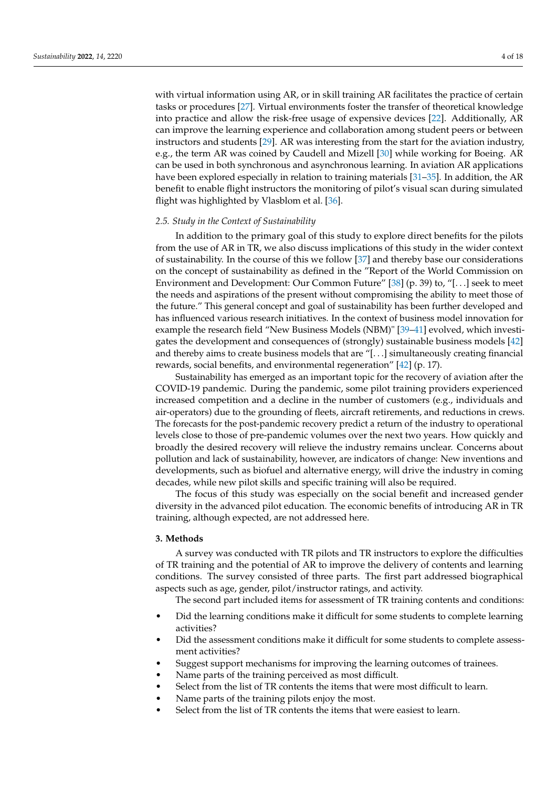with virtual information using AR, or in skill training AR facilitates the practice of certain tasks or procedures [\[27\]](#page-15-11). Virtual environments foster the transfer of theoretical knowledge into practice and allow the risk-free usage of expensive devices [\[22\]](#page-15-13). Additionally, AR can improve the learning experience and collaboration among student peers or between

instructors and students [\[29\]](#page-15-14). AR was interesting from the start for the aviation industry, e.g., the term AR was coined by Caudell and Mizell [\[30\]](#page-15-15) while working for Boeing. AR can be used in both synchronous and asynchronous learning. In aviation AR applications have been explored especially in relation to training materials [\[31](#page-15-16)[–35\]](#page-15-17). In addition, the AR benefit to enable flight instructors the monitoring of pilot's visual scan during simulated flight was highlighted by Vlasblom et al. [\[36\]](#page-15-18).

## *2.5. Study in the Context of Sustainability*

In addition to the primary goal of this study to explore direct benefits for the pilots from the use of AR in TR, we also discuss implications of this study in the wider context of sustainability. In the course of this we follow [\[37\]](#page-15-19) and thereby base our considerations on the concept of sustainability as defined in the "Report of the World Commission on Environment and Development: Our Common Future" [\[38\]](#page-16-0) (p. 39) to, "[. . .] seek to meet the needs and aspirations of the present without compromising the ability to meet those of the future." This general concept and goal of sustainability has been further developed and has influenced various research initiatives. In the context of business model innovation for example the research field "New Business Models (NBM)" [\[39–](#page-17-0)[41\]](#page-17-1) evolved, which investigates the development and consequences of (strongly) sustainable business models [\[42\]](#page-17-2) and thereby aims to create business models that are "[. . .] simultaneously creating financial rewards, social benefits, and environmental regeneration" [\[42\]](#page-17-2) (p. 17).

Sustainability has emerged as an important topic for the recovery of aviation after the COVID-19 pandemic. During the pandemic, some pilot training providers experienced increased competition and a decline in the number of customers (e.g., individuals and air-operators) due to the grounding of fleets, aircraft retirements, and reductions in crews. The forecasts for the post-pandemic recovery predict a return of the industry to operational levels close to those of pre-pandemic volumes over the next two years. How quickly and broadly the desired recovery will relieve the industry remains unclear. Concerns about pollution and lack of sustainability, however, are indicators of change: New inventions and developments, such as biofuel and alternative energy, will drive the industry in coming decades, while new pilot skills and specific training will also be required.

The focus of this study was especially on the social benefit and increased gender diversity in the advanced pilot education. The economic benefits of introducing AR in TR training, although expected, are not addressed here.

## <span id="page-3-0"></span>**3. Methods**

A survey was conducted with TR pilots and TR instructors to explore the difficulties of TR training and the potential of AR to improve the delivery of contents and learning conditions. The survey consisted of three parts. The first part addressed biographical aspects such as age, gender, pilot/instructor ratings, and activity.

The second part included items for assessment of TR training contents and conditions:

- Did the learning conditions make it difficult for some students to complete learning activities?
- Did the assessment conditions make it difficult for some students to complete assessment activities?
- Suggest support mechanisms for improving the learning outcomes of trainees.
- Name parts of the training perceived as most difficult.
- Select from the list of TR contents the items that were most difficult to learn.
- Name parts of the training pilots enjoy the most.
- Select from the list of TR contents the items that were easiest to learn.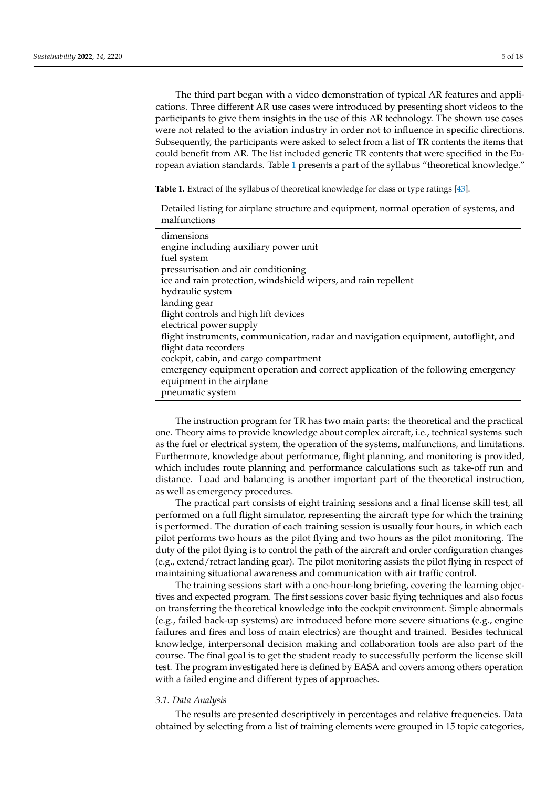The third part began with a video demonstration of typical AR features and applications. Three different AR use cases were introduced by presenting short videos to the participants to give them insights in the use of this AR technology. The shown use cases were not related to the aviation industry in order not to influence in specific directions. Subsequently, the participants were asked to select from a list of TR contents the items that could benefit from AR. The list included generic TR contents that were specified in the European aviation standards. Table [1](#page-4-0) presents a part of the syllabus "theoretical knowledge."

<span id="page-4-0"></span>**Table 1.** Extract of the syllabus of theoretical knowledge for class or type ratings [\[43\]](#page-17-3).

The instruction program for TR has two main parts: the theoretical and the practical one. Theory aims to provide knowledge about complex aircraft, i.e., technical systems such as the fuel or electrical system, the operation of the systems, malfunctions, and limitations. Furthermore, knowledge about performance, flight planning, and monitoring is provided, which includes route planning and performance calculations such as take-off run and distance. Load and balancing is another important part of the theoretical instruction, as well as emergency procedures.

The practical part consists of eight training sessions and a final license skill test, all performed on a full flight simulator, representing the aircraft type for which the training is performed. The duration of each training session is usually four hours, in which each pilot performs two hours as the pilot flying and two hours as the pilot monitoring. The duty of the pilot flying is to control the path of the aircraft and order configuration changes (e.g., extend/retract landing gear). The pilot monitoring assists the pilot flying in respect of maintaining situational awareness and communication with air traffic control.

The training sessions start with a one-hour-long briefing, covering the learning objectives and expected program. The first sessions cover basic flying techniques and also focus on transferring the theoretical knowledge into the cockpit environment. Simple abnormals (e.g., failed back-up systems) are introduced before more severe situations (e.g., engine failures and fires and loss of main electrics) are thought and trained. Besides technical knowledge, interpersonal decision making and collaboration tools are also part of the course. The final goal is to get the student ready to successfully perform the license skill test. The program investigated here is defined by EASA and covers among others operation with a failed engine and different types of approaches.

## *3.1. Data Analysis*

The results are presented descriptively in percentages and relative frequencies. Data obtained by selecting from a list of training elements were grouped in 15 topic categories,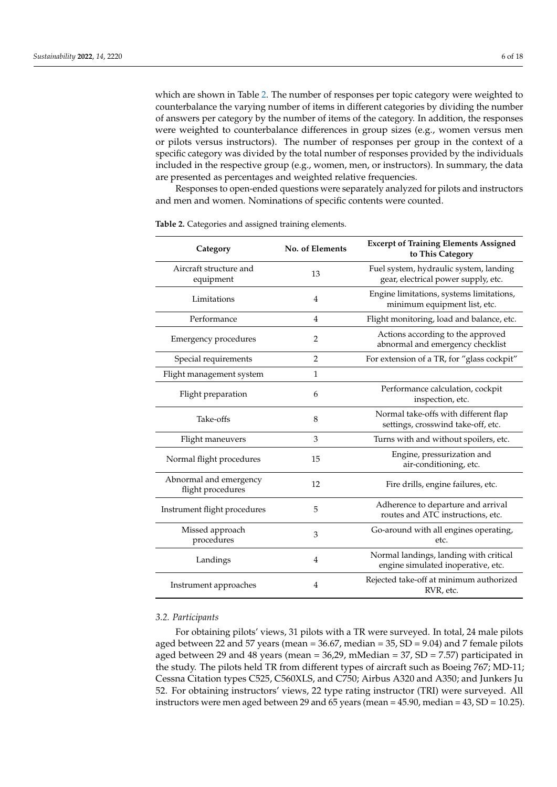which are shown in Table [2.](#page-5-0) The number of responses per topic category were weighted to counterbalance the varying number of items in different categories by dividing the number of answers per category by the number of items of the category. In addition, the responses were weighted to counterbalance differences in group sizes (e.g., women versus men or pilots versus instructors). The number of responses per group in the context of a specific category was divided by the total number of responses provided by the individuals included in the respective group (e.g., women, men, or instructors). In summary, the data are presented as percentages and weighted relative frequencies.

Responses to open-ended questions were separately analyzed for pilots and instructors and men and women. Nominations of specific contents were counted.

| Category                                    | No. of Elements | <b>Excerpt of Training Elements Assigned</b><br>to This Category              |  |
|---------------------------------------------|-----------------|-------------------------------------------------------------------------------|--|
| Aircraft structure and<br>equipment         | 13              | Fuel system, hydraulic system, landing<br>gear, electrical power supply, etc. |  |
| Limitations                                 | $\overline{4}$  | Engine limitations, systems limitations,<br>minimum equipment list, etc.      |  |
| Performance                                 | $\overline{4}$  | Flight monitoring, load and balance, etc.                                     |  |
| <b>Emergency procedures</b>                 | 2               | Actions according to the approved<br>abnormal and emergency checklist         |  |
| Special requirements                        | $\overline{2}$  | For extension of a TR, for "glass cockpit"                                    |  |
| Flight management system                    | $\mathbf{1}$    |                                                                               |  |
| Flight preparation                          | 6               | Performance calculation, cockpit<br>inspection, etc.                          |  |
| Take-offs                                   | 8               | Normal take-offs with different flap<br>settings, crosswind take-off, etc.    |  |
| Flight maneuvers                            | 3               | Turns with and without spoilers, etc.                                         |  |
| Normal flight procedures                    | 15              | Engine, pressurization and<br>air-conditioning, etc.                          |  |
| Abnormal and emergency<br>flight procedures | 12              | Fire drills, engine failures, etc.                                            |  |
| Instrument flight procedures                | 5               | Adherence to departure and arrival<br>routes and ATC instructions, etc.       |  |
| Missed approach<br>procedures               | 3               | Go-around with all engines operating,<br>etc.                                 |  |
| Landings                                    | $\overline{4}$  | Normal landings, landing with critical<br>engine simulated inoperative, etc.  |  |
| Instrument approaches                       | $\overline{4}$  | Rejected take-off at minimum authorized<br>RVR, etc.                          |  |

<span id="page-5-0"></span>**Table 2.** Categories and assigned training elements.

## *3.2. Participants*

For obtaining pilots' views, 31 pilots with a TR were surveyed. In total, 24 male pilots aged between 22 and 57 years (mean =  $36.67$ , median =  $35$ , SD =  $9.04$ ) and 7 female pilots aged between 29 and 48 years (mean = 36,29, mMedian = 37, SD = 7.57) participated in the study. The pilots held TR from different types of aircraft such as Boeing 767; MD-11; Cessna Citation types C525, C560XLS, and C750; Airbus A320 and A350; and Junkers Ju 52. For obtaining instructors' views, 22 type rating instructor (TRI) were surveyed. All instructors were men aged between 29 and 65 years (mean = 45.90, median = 43, SD = 10.25).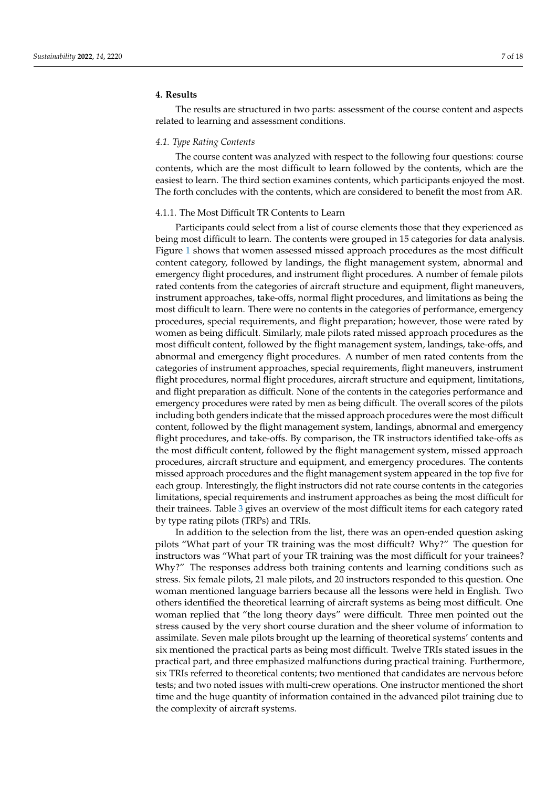# <span id="page-6-0"></span>**4. Results**

The results are structured in two parts: assessment of the course content and aspects related to learning and assessment conditions.

## *4.1. Type Rating Contents*

The course content was analyzed with respect to the following four questions: course contents, which are the most difficult to learn followed by the contents, which are the easiest to learn. The third section examines contents, which participants enjoyed the most. The forth concludes with the contents, which are considered to benefit the most from AR.

# 4.1.1. The Most Difficult TR Contents to Learn

Participants could select from a list of course elements those that they experienced as being most difficult to learn. The contents were grouped in 15 categories for data analysis. Figure [1](#page-7-0) shows that women assessed missed approach procedures as the most difficult content category, followed by landings, the flight management system, abnormal and emergency flight procedures, and instrument flight procedures. A number of female pilots rated contents from the categories of aircraft structure and equipment, flight maneuvers, instrument approaches, take-offs, normal flight procedures, and limitations as being the most difficult to learn. There were no contents in the categories of performance, emergency procedures, special requirements, and flight preparation; however, those were rated by women as being difficult. Similarly, male pilots rated missed approach procedures as the most difficult content, followed by the flight management system, landings, take-offs, and abnormal and emergency flight procedures. A number of men rated contents from the categories of instrument approaches, special requirements, flight maneuvers, instrument flight procedures, normal flight procedures, aircraft structure and equipment, limitations, and flight preparation as difficult. None of the contents in the categories performance and emergency procedures were rated by men as being difficult. The overall scores of the pilots including both genders indicate that the missed approach procedures were the most difficult content, followed by the flight management system, landings, abnormal and emergency flight procedures, and take-offs. By comparison, the TR instructors identified take-offs as the most difficult content, followed by the flight management system, missed approach procedures, aircraft structure and equipment, and emergency procedures. The contents missed approach procedures and the flight management system appeared in the top five for each group. Interestingly, the flight instructors did not rate course contents in the categories limitations, special requirements and instrument approaches as being the most difficult for their trainees. Table [3](#page-9-0) gives an overview of the most difficult items for each category rated by type rating pilots (TRPs) and TRIs.

In addition to the selection from the list, there was an open-ended question asking pilots "What part of your TR training was the most difficult? Why?" The question for instructors was "What part of your TR training was the most difficult for your trainees? Why?" The responses address both training contents and learning conditions such as stress. Six female pilots, 21 male pilots, and 20 instructors responded to this question. One woman mentioned language barriers because all the lessons were held in English. Two others identified the theoretical learning of aircraft systems as being most difficult. One woman replied that "the long theory days" were difficult. Three men pointed out the stress caused by the very short course duration and the sheer volume of information to assimilate. Seven male pilots brought up the learning of theoretical systems' contents and six mentioned the practical parts as being most difficult. Twelve TRIs stated issues in the practical part, and three emphasized malfunctions during practical training. Furthermore, six TRIs referred to theoretical contents; two mentioned that candidates are nervous before tests; and two noted issues with multi-crew operations. One instructor mentioned the short time and the huge quantity of information contained in the advanced pilot training due to the complexity of aircraft systems.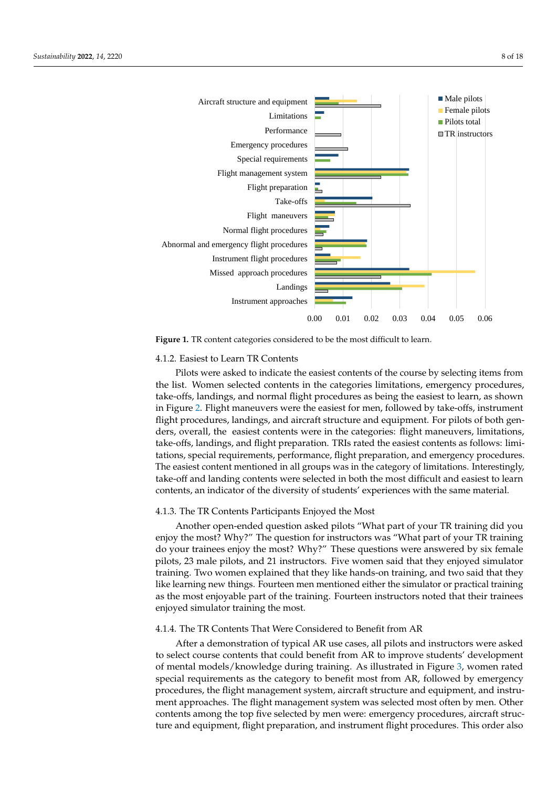<span id="page-7-0"></span>



**Figure 1.** TR content categories considered to be the most difficult to learn.

## 4.1.2. Easiest to Learn TR Contents

Pilots were asked to indicate the easiest contents of the course by selecting items from the list. Women selected contents in the categories limitations, emergency procedures, take-offs, landings, and normal flight procedures as being the easiest to learn, as shown in Figure [2.](#page-8-0) Flight maneuvers were the easiest for men, followed by take-offs, instrument flight procedures, landings, and aircraft structure and equipment. For pilots of both genders, overall, the easiest contents were in the categories: flight maneuvers, limitations, take-offs, landings, and flight preparation. TRIs rated the easiest contents as follows: limitations, special requirements, performance, flight preparation, and emergency procedures. The easiest content mentioned in all groups was in the category of limitations. Interestingly, take-off and landing contents were selected in both the most difficult and easiest to learn contents, an indicator of the diversity of students' experiences with the same material.

# 4.1.3. The TR Contents Participants Enjoyed the Most

Another open-ended question asked pilots "What part of your TR training did you enjoy the most? Why?" The question for instructors was "What part of your TR training do your trainees enjoy the most? Why?" These questions were answered by six female pilots, 23 male pilots, and 21 instructors. Five women said that they enjoyed simulator training. Two women explained that they like hands-on training, and two said that they like learning new things. Fourteen men mentioned either the simulator or practical training as the most enjoyable part of the training. Fourteen instructors noted that their trainees enjoyed simulator training the most.

# 4.1.4. The TR Contents That Were Considered to Benefit from AR

After a demonstration of typical AR use cases, all pilots and instructors were asked to select course contents that could benefit from AR to improve students' development of mental models/knowledge during training. As illustrated in Figure [3,](#page-8-1) women rated special requirements as the category to benefit most from AR, followed by emergency procedures, the flight management system, aircraft structure and equipment, and instrument approaches. The flight management system was selected most often by men. Other contents among the top five selected by men were: emergency procedures, aircraft structure and equipment, flight preparation, and instrument flight procedures. This order also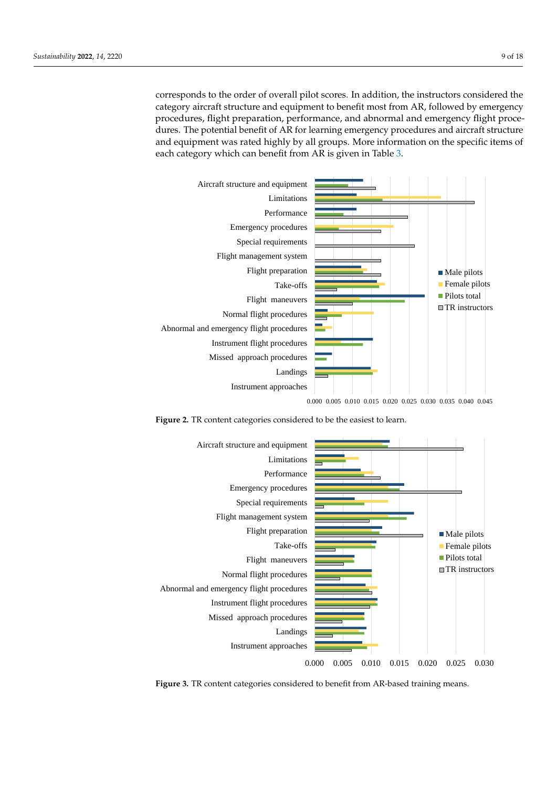corresponds to the order of overall pilot scores. In addition, the instructors considered the category aircraft structure and equipment to benefit most from AR, followed by emergency procedures, flight preparation, performance, and abnormal and emergency flight procedures. The potential benefit of AR for learning emergency procedures and aircraft structure and equipment was rated highly by all groups. More information on the specific items of each category which can benefit from AR is given in Table [3.](#page-9-0)

<span id="page-8-0"></span>

0.000 0.005 0.010 0.015 0.020 0.025 0.030 0.035 0.040 0.045

**Figure 2.** TR content categories considered to be the easiest to learn.

<span id="page-8-1"></span>

**Figure 3.** TR content categories considered to benefit from AR-based training means.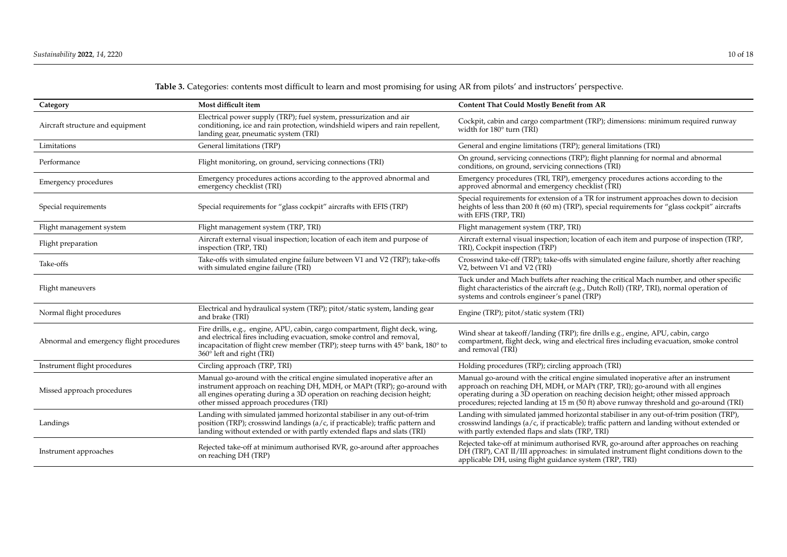<span id="page-9-0"></span>

| Category                                 | Most difficult item                                                                                                                                                                                                                                                      | <b>Content That Could Mostly Benefit from AR</b>                                                                                                                                                                                                                                                                                                     |  |
|------------------------------------------|--------------------------------------------------------------------------------------------------------------------------------------------------------------------------------------------------------------------------------------------------------------------------|------------------------------------------------------------------------------------------------------------------------------------------------------------------------------------------------------------------------------------------------------------------------------------------------------------------------------------------------------|--|
| Aircraft structure and equipment         | Electrical power supply (TRP); fuel system, pressurization and air<br>conditioning, ice and rain protection, windshield wipers and rain repellent,<br>landing gear, pneumatic system (TRI)                                                                               | Cockpit, cabin and cargo compartment (TRP); dimensions: minimum required runway<br>width for 180° turn (TRI)                                                                                                                                                                                                                                         |  |
| General limitations (TRP)<br>Limitations |                                                                                                                                                                                                                                                                          | General and engine limitations (TRP); general limitations (TRI)                                                                                                                                                                                                                                                                                      |  |
| Performance                              | Flight monitoring, on ground, servicing connections (TRI)                                                                                                                                                                                                                | On ground, servicing connections (TRP); flight planning for normal and abnormal<br>conditions, on ground, servicing connections (TRI)                                                                                                                                                                                                                |  |
| Emergency procedures                     | Emergency procedures actions according to the approved abnormal and<br>Emergency procedures (TRI, TRP), emergency procedures actions according to the<br>approved abnormal and emergency checklist (TRI)<br>emergency checklist (TRI)                                    |                                                                                                                                                                                                                                                                                                                                                      |  |
| Special requirements                     | Special requirements for "glass cockpit" aircrafts with EFIS (TRP)                                                                                                                                                                                                       | Special requirements for extension of a TR for instrument approaches down to decision<br>heights of less than 200 ft (60 m) (TRP), special requirements for "glass cockpit" aircrafts<br>with EFIS (TRP, TRI)                                                                                                                                        |  |
| Flight management system                 | Flight management system (TRP, TRI)                                                                                                                                                                                                                                      | Flight management system (TRP, TRI)                                                                                                                                                                                                                                                                                                                  |  |
| Flight preparation                       | Aircraft external visual inspection; location of each item and purpose of<br>inspection (TRP, TRI)                                                                                                                                                                       | Aircraft external visual inspection; location of each item and purpose of inspection (TRP,<br>TRI), Cockpit inspection (TRP)                                                                                                                                                                                                                         |  |
| Take-offs                                | Take-offs with simulated engine failure between V1 and V2 (TRP); take-offs<br>with simulated engine failure (TRI)                                                                                                                                                        | Crosswind take-off (TRP); take-offs with simulated engine failure, shortly after reaching<br>V2, between V1 and V2 (TRI)                                                                                                                                                                                                                             |  |
| Flight maneuvers                         |                                                                                                                                                                                                                                                                          | Tuck under and Mach buffets after reaching the critical Mach number, and other specific<br>flight characteristics of the aircraft (e.g., Dutch Roll) (TRP, TRI), normal operation of<br>systems and controls engineer's panel (TRP)                                                                                                                  |  |
| Normal flight procedures                 | Electrical and hydraulical system (TRP); pitot/static system, landing gear<br>and brake (TRI)                                                                                                                                                                            | Engine (TRP); pitot/static system (TRI)                                                                                                                                                                                                                                                                                                              |  |
| Abnormal and emergency flight procedures | Fire drills, e.g., engine, APU, cabin, cargo compartment, flight deck, wing,<br>and electrical fires including evacuation, smoke control and removal,<br>incapacitation of flight crew member (TRP); steep turns with 45° bank, 180° to<br>360° left and right (TRI)     | Wind shear at takeoff/landing (TRP); fire drills e.g., engine, APU, cabin, cargo<br>compartment, flight deck, wing and electrical fires including evacuation, smoke control<br>and removal (TRI)                                                                                                                                                     |  |
| Instrument flight procedures             | Circling approach (TRP, TRI)                                                                                                                                                                                                                                             | Holding procedures (TRP); circling approach (TRI)                                                                                                                                                                                                                                                                                                    |  |
| Missed approach procedures               | Manual go-around with the critical engine simulated inoperative after an<br>instrument approach on reaching DH, MDH, or MAPt (TRP); go-around with<br>all engines operating during a 3D operation on reaching decision height;<br>other missed approach procedures (TRI) | Manual go-around with the critical engine simulated inoperative after an instrument<br>approach on reaching DH, MDH, or MAPt (TRP, TRI); go-around with all engines<br>operating during a 3D operation on reaching decision height; other missed approach<br>procedures; rejected landing at 15 m (50 ft) above runway threshold and go-around (TRI) |  |
| Landings                                 | Landing with simulated jammed horizontal stabiliser in any out-of-trim<br>position (TRP); crosswind landings (a/c, if practicable); traffic pattern and<br>landing without extended or with partly extended flaps and slats (TRI)                                        | Landing with simulated jammed horizontal stabiliser in any out-of-trim position (TRP),<br>crosswind landings (a/c, if practicable); traffic pattern and landing without extended or<br>with partly extended flaps and slats (TRP, TRI)                                                                                                               |  |
| Instrument approaches                    | Rejected take-off at minimum authorised RVR, go-around after approaches<br>on reaching DH (TRP)                                                                                                                                                                          | Rejected take-off at minimum authorised RVR, go-around after approaches on reaching<br>DH (TRP), CAT II/III approaches: in simulated instrument flight conditions down to the<br>applicable DH, using flight guidance system (TRP, TRI)                                                                                                              |  |

**Table 3.** Categories: contents most difficult to learn and most promising for using AR from pilots' and instructors' perspective.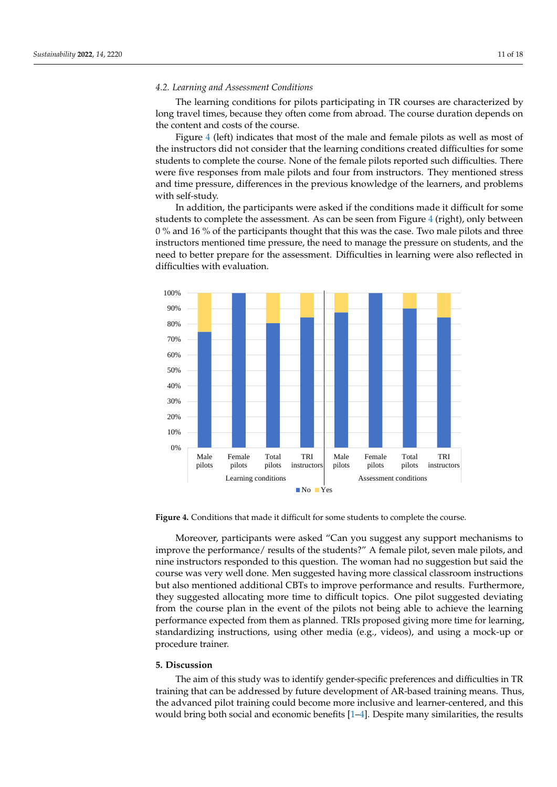#### *4.2. Learning and Assessment Conditions*

The learning conditions for pilots participating in TR courses are characterized by long travel times, because they often come from abroad. The course duration depends on the content and costs of the course.

Figure [4](#page-10-1) (left) indicates that most of the male and female pilots as well as most of the instructors did not consider that the learning conditions created difficulties for some students to complete the course. None of the female pilots reported such difficulties. There were five responses from male pilots and four from instructors. They mentioned stress and time pressure, differences in the previous knowledge of the learners, and problems with self-study.

In addition, the participants were asked if the conditions made it difficult for some students to complete the assessment. As can be seen from Figure [4](#page-10-1) (right), only between 0 % and 16 % of the participants thought that this was the case. Two male pilots and three instructors mentioned time pressure, the need to manage the pressure on students, and the need to better prepare for the assessment. Difficulties in learning were also reflected in difficulties with evaluation.

<span id="page-10-1"></span>

**Figure 4.** Conditions that made it difficult for some students to complete the course.

Moreover, participants were asked "Can you suggest any support mechanisms to improve the performance/ results of the students?" A female pilot, seven male pilots, and nine instructors responded to this question. The woman had no suggestion but said the course was very well done. Men suggested having more classical classroom instructions but also mentioned additional CBTs to improve performance and results. Furthermore, they suggested allocating more time to difficult topics. One pilot suggested deviating from the course plan in the event of the pilots not being able to achieve the learning performance expected from them as planned. TRIs proposed giving more time for learning, standardizing instructions, using other media (e.g., videos), and using a mock-up or procedure trainer.

#### <span id="page-10-0"></span>**5. Discussion**

The aim of this study was to identify gender-specific preferences and difficulties in TR training that can be addressed by future development of AR-based training means. Thus, the advanced pilot training could become more inclusive and learner-centered, and this would bring both social and economic benefits [\[1–](#page-14-0)[4\]](#page-14-3). Despite many similarities, the results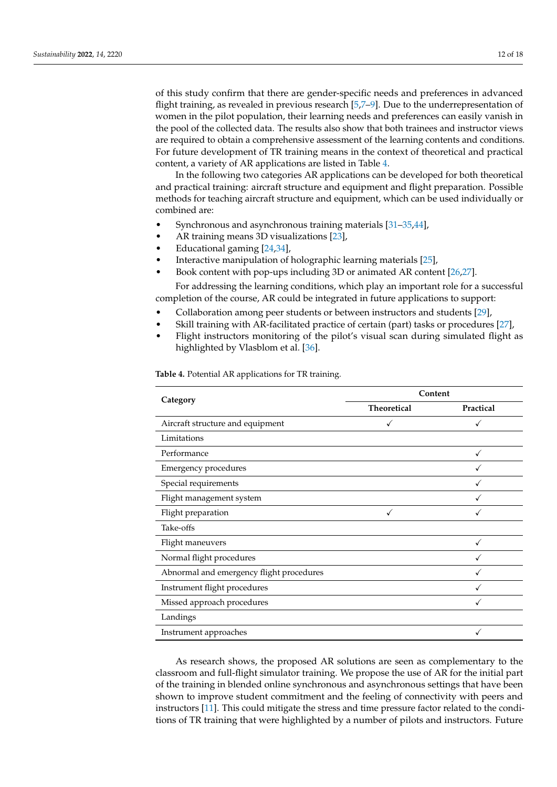of this study confirm that there are gender-specific needs and preferences in advanced flight training, as revealed in previous research [\[5,](#page-14-4)[7–](#page-14-6)[9\]](#page-14-8). Due to the underrepresentation of women in the pilot population, their learning needs and preferences can easily vanish in the pool of the collected data. The results also show that both trainees and instructor views are required to obtain a comprehensive assessment of the learning contents and conditions. For future development of TR training means in the context of theoretical and practical content, a variety of AR applications are listed in Table [4.](#page-11-0)

In the following two categories AR applications can be developed for both theoretical and practical training: aircraft structure and equipment and flight preparation. Possible methods for teaching aircraft structure and equipment, which can be used individually or combined are:

- Synchronous and asynchronous training materials [\[31](#page-15-16)[–35](#page-15-17)[,44\]](#page-17-4),
- AR training means 3D visualizations [\[23\]](#page-15-7),
- Educational gaming [\[24,](#page-15-8)[34\]](#page-15-20),
- Interactive manipulation of holographic learning materials [\[25\]](#page-15-9),
- Book content with pop-ups including 3D or animated AR content [\[26](#page-15-10)[,27\]](#page-15-11).

For addressing the learning conditions, which play an important role for a successful completion of the course, AR could be integrated in future applications to support:

- Collaboration among peer students or between instructors and students [\[29\]](#page-15-14),
- Skill training with AR-facilitated practice of certain (part) tasks or procedures [\[27\]](#page-15-11),
- Flight instructors monitoring of the pilot's visual scan during simulated flight as highlighted by Vlasblom et al. [\[36\]](#page-15-18).

<span id="page-11-0"></span>**Table 4.** Potential AR applications for TR training.

| Category                                 | Content            |           |  |
|------------------------------------------|--------------------|-----------|--|
|                                          | <b>Theoretical</b> | Practical |  |
| Aircraft structure and equipment         |                    |           |  |
| Limitations                              |                    |           |  |
| Performance                              |                    |           |  |
| <b>Emergency procedures</b>              |                    |           |  |
| Special requirements                     |                    |           |  |
| Flight management system                 |                    |           |  |
| Flight preparation                       |                    |           |  |
| Take-offs                                |                    |           |  |
| Flight maneuvers                         |                    |           |  |
| Normal flight procedures                 |                    |           |  |
| Abnormal and emergency flight procedures |                    |           |  |
| Instrument flight procedures             |                    |           |  |
| Missed approach procedures               |                    |           |  |
| Landings                                 |                    |           |  |
| Instrument approaches                    |                    |           |  |

As research shows, the proposed AR solutions are seen as complementary to the classroom and full-flight simulator training. We propose the use of AR for the initial part of the training in blended online synchronous and asynchronous settings that have been shown to improve student commitment and the feeling of connectivity with peers and instructors [\[11\]](#page-14-10). This could mitigate the stress and time pressure factor related to the conditions of TR training that were highlighted by a number of pilots and instructors. Future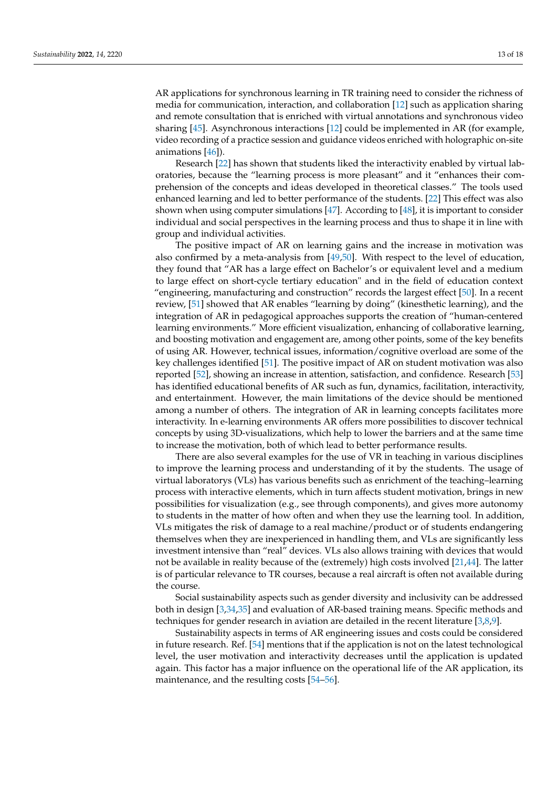AR applications for synchronous learning in TR training need to consider the richness of media for communication, interaction, and collaboration [\[12\]](#page-15-0) such as application sharing and remote consultation that is enriched with virtual annotations and synchronous video sharing [\[45\]](#page-17-5). Asynchronous interactions [\[12\]](#page-15-0) could be implemented in AR (for example, video recording of a practice session and guidance videos enriched with holographic on-site animations [\[46\]](#page-17-6)).

Research [\[22\]](#page-15-13) has shown that students liked the interactivity enabled by virtual laboratories, because the "learning process is more pleasant" and it "enhances their comprehension of the concepts and ideas developed in theoretical classes." The tools used enhanced learning and led to better performance of the students. [\[22\]](#page-15-13) This effect was also shown when using computer simulations [\[47\]](#page-17-7). According to [\[48\]](#page-17-8), it is important to consider individual and social perspectives in the learning process and thus to shape it in line with group and individual activities.

The positive impact of AR on learning gains and the increase in motivation was also confirmed by a meta-analysis from [\[49](#page-17-9)[,50\]](#page-17-10). With respect to the level of education, they found that "AR has a large effect on Bachelor's or equivalent level and a medium to large effect on short-cycle tertiary education" and in the field of education context "engineering, manufacturing and construction" records the largest effect [\[50\]](#page-17-10). In a recent review, [\[51\]](#page-17-11) showed that AR enables "learning by doing" (kinesthetic learning), and the integration of AR in pedagogical approaches supports the creation of "human-centered learning environments." More efficient visualization, enhancing of collaborative learning, and boosting motivation and engagement are, among other points, some of the key benefits of using AR. However, technical issues, information/cognitive overload are some of the key challenges identified [\[51\]](#page-17-11). The positive impact of AR on student motivation was also reported [\[52\]](#page-17-12), showing an increase in attention, satisfaction, and confidence. Research [\[53\]](#page-17-13) has identified educational benefits of AR such as fun, dynamics, facilitation, interactivity, and entertainment. However, the main limitations of the device should be mentioned among a number of others. The integration of AR in learning concepts facilitates more interactivity. In e-learning environments AR offers more possibilities to discover technical concepts by using 3D-visualizations, which help to lower the barriers and at the same time to increase the motivation, both of which lead to better performance results.

There are also several examples for the use of VR in teaching in various disciplines to improve the learning process and understanding of it by the students. The usage of virtual laboratorys (VLs) has various benefits such as enrichment of the teaching–learning process with interactive elements, which in turn affects student motivation, brings in new possibilities for visualization (e.g., see through components), and gives more autonomy to students in the matter of how often and when they use the learning tool. In addition, VLs mitigates the risk of damage to a real machine/product or of students endangering themselves when they are inexperienced in handling them, and VLs are significantly less investment intensive than "real" devices. VLs also allows training with devices that would not be available in reality because of the (extremely) high costs involved [\[21](#page-15-6)[,44\]](#page-17-4). The latter is of particular relevance to TR courses, because a real aircraft is often not available during the course.

Social sustainability aspects such as gender diversity and inclusivity can be addressed both in design [\[3,](#page-14-2)[34,](#page-15-20)[35\]](#page-15-17) and evaluation of AR-based training means. Specific methods and techniques for gender research in aviation are detailed in the recent literature  $[3,8,9]$  $[3,8,9]$  $[3,8,9]$ .

Sustainability aspects in terms of AR engineering issues and costs could be considered in future research. Ref. [\[54\]](#page-17-14) mentions that if the application is not on the latest technological level, the user motivation and interactivity decreases until the application is updated again. This factor has a major influence on the operational life of the AR application, its maintenance, and the resulting costs [\[54](#page-17-14)[–56\]](#page-17-15).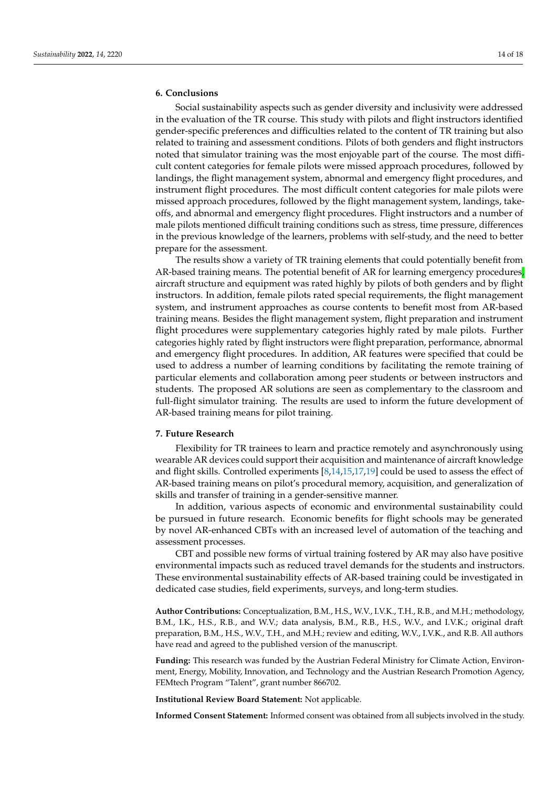# <span id="page-13-0"></span>**6. Conclusions**

Social sustainability aspects such as gender diversity and inclusivity were addressed in the evaluation of the TR course. This study with pilots and flight instructors identified gender-specific preferences and difficulties related to the content of TR training but also related to training and assessment conditions. Pilots of both genders and flight instructors noted that simulator training was the most enjoyable part of the course. The most difficult content categories for female pilots were missed approach procedures, followed by landings, the flight management system, abnormal and emergency flight procedures, and instrument flight procedures. The most difficult content categories for male pilots were missed approach procedures, followed by the flight management system, landings, takeoffs, and abnormal and emergency flight procedures. Flight instructors and a number of male pilots mentioned difficult training conditions such as stress, time pressure, differences in the previous knowledge of the learners, problems with self-study, and the need to better prepare for the assessment.

The results show a variety of TR training elements that could potentially benefit from AR-based training means. The potential benefit of AR for learning emergency procedures, aircraft structure and equipment was rated highly by pilots of both genders and by flight instructors. In addition, female pilots rated special requirements, the flight management system, and instrument approaches as course contents to benefit most from AR-based training means. Besides the flight management system, flight preparation and instrument flight procedures were supplementary categories highly rated by male pilots. Further categories highly rated by flight instructors were flight preparation, performance, abnormal and emergency flight procedures. In addition, AR features were specified that could be used to address a number of learning conditions by facilitating the remote training of particular elements and collaboration among peer students or between instructors and students. The proposed AR solutions are seen as complementary to the classroom and full-flight simulator training. The results are used to inform the future development of AR-based training means for pilot training.

# <span id="page-13-1"></span>**7. Future Research**

Flexibility for TR trainees to learn and practice remotely and asynchronously using wearable AR devices could support their acquisition and maintenance of aircraft knowledge and flight skills. Controlled experiments  $[8,14,15,17,19]$  $[8,14,15,17,19]$  $[8,14,15,17,19]$  $[8,14,15,17,19]$  $[8,14,15,17,19]$  could be used to assess the effect of AR-based training means on pilot's procedural memory, acquisition, and generalization of skills and transfer of training in a gender-sensitive manner.

In addition, various aspects of economic and environmental sustainability could be pursued in future research. Economic benefits for flight schools may be generated by novel AR-enhanced CBTs with an increased level of automation of the teaching and assessment processes.

CBT and possible new forms of virtual training fostered by AR may also have positive environmental impacts such as reduced travel demands for the students and instructors. These environmental sustainability effects of AR-based training could be investigated in dedicated case studies, field experiments, surveys, and long-term studies.

**Author Contributions:** Conceptualization, B.M., H.S., W.V., I.V.K., T.H., R.B., and M.H.; methodology, B.M., I.K., H.S., R.B., and W.V.; data analysis, B.M., R.B., H.S., W.V., and I.V.K.; original draft preparation, B.M., H.S., W.V., T.H., and M.H.; review and editing, W.V., I.V.K., and R.B. All authors have read and agreed to the published version of the manuscript.

**Funding:** This research was funded by the Austrian Federal Ministry for Climate Action, Environment, Energy, Mobility, Innovation, and Technology and the Austrian Research Promotion Agency, FEMtech Program "Talent", grant number 866702.

**Institutional Review Board Statement:** Not applicable.

**Informed Consent Statement:** Informed consent was obtained from all subjects involved in the study.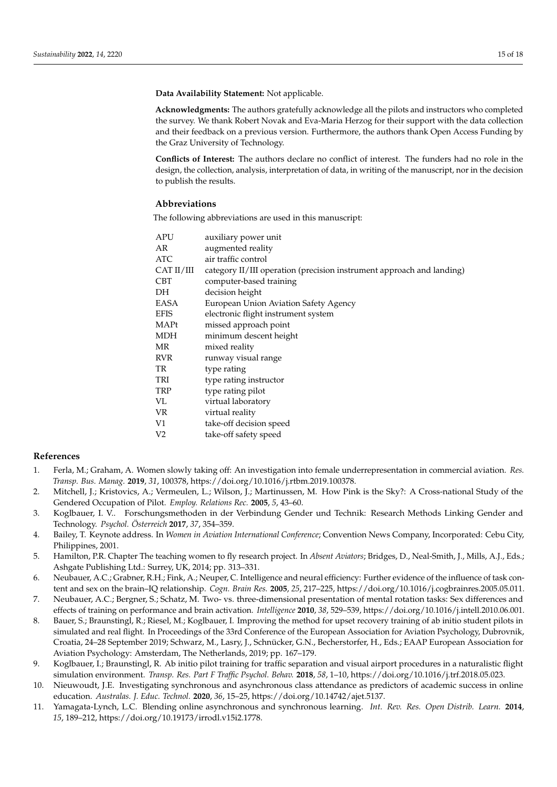**Data Availability Statement:** Not applicable.

**Acknowledgments:** The authors gratefully acknowledge all the pilots and instructors who completed the survey. We thank Robert Novak and Eva-Maria Herzog for their support with the data collection and their feedback on a previous version. Furthermore, the authors thank Open Access Funding by the Graz University of Technology.

**Conflicts of Interest:** The authors declare no conflict of interest. The funders had no role in the design, the collection, analysis, interpretation of data, in writing of the manuscript, nor in the decision to publish the results.

# **Abbreviations**

The following abbreviations are used in this manuscript:

| APU            | auxiliary power unit                                                  |
|----------------|-----------------------------------------------------------------------|
| AR             | augmented reality                                                     |
| ATC            | air traffic control                                                   |
| CAT II/III     | category II/III operation (precision instrument approach and landing) |
| <b>CBT</b>     | computer-based training                                               |
| DH             | decision height                                                       |
| EASA           | European Union Aviation Safety Agency                                 |
| <b>EFIS</b>    | electronic flight instrument system                                   |
| MAPt           | missed approach point                                                 |
| MDH            | minimum descent height                                                |
| MR             | mixed reality                                                         |
| <b>RVR</b>     | runway visual range                                                   |
| TR             | type rating                                                           |
| TRI            | type rating instructor                                                |
| <b>TRP</b>     | type rating pilot                                                     |
| VL.            | virtual laboratory                                                    |
| VR.            | virtual reality                                                       |
| V1             | take-off decision speed                                               |
| V <sub>2</sub> | take-off safety speed                                                 |

# **References**

- <span id="page-14-0"></span>1. Ferla, M.; Graham, A. Women slowly taking off: An investigation into female underrepresentation in commercial aviation. *Res. Transp. Bus. Manag.* **2019**, *31*, 100378, https://doi.org/10.1016/j.rtbm.2019.100378.
- <span id="page-14-1"></span>2. Mitchell, J.; Kristovics, A.; Vermeulen, L.; Wilson, J.; Martinussen, M. How Pink is the Sky?: A Cross-national Study of the Gendered Occupation of Pilot. *Employ. Relations Rec.* **2005**, *5*, 43–60.
- <span id="page-14-2"></span>3. Koglbauer, I. V.. Forschungsmethoden in der Verbindung Gender und Technik: Research Methods Linking Gender and Technology. *Psychol. Österreich* **2017**, *37*, 354–359.
- <span id="page-14-3"></span>4. Bailey, T. Keynote address. In *Women in Aviation International Conference*; Convention News Company, Incorporated: Cebu City, Philippines, 2001.
- <span id="page-14-4"></span>5. Hamilton, P.R. Chapter The teaching women to fly research project. In *Absent Aviators*; Bridges, D., Neal-Smith, J., Mills, A.J., Eds.; Ashgate Publishing Ltd.: Surrey, UK, 2014; pp. 313–331.
- <span id="page-14-5"></span>6. Neubauer, A.C.; Grabner, R.H.; Fink, A.; Neuper, C. Intelligence and neural efficiency: Further evidence of the influence of task content and sex on the brain–IQ relationship. *Cogn. Brain Res.* **2005**, *25*, 217–225, https://doi.org/10.1016/j.cogbrainres.2005.05.011.
- <span id="page-14-6"></span>7. Neubauer, A.C.; Bergner, S.; Schatz, M. Two- vs. three-dimensional presentation of mental rotation tasks: Sex differences and effects of training on performance and brain activation. *Intelligence* **2010**, *38*, 529–539, https://doi.org/10.1016/j.intell.2010.06.001.
- <span id="page-14-7"></span>8. Bauer, S.; Braunstingl, R.; Riesel, M.; Koglbauer, I. Improving the method for upset recovery training of ab initio student pilots in simulated and real flight. In Proceedings of the 33rd Conference of the European Association for Aviation Psychology, Dubrovnik, Croatia, 24–28 September 2019; Schwarz, M., Lasry, J., Schnücker, G.N., Becherstorfer, H., Eds.; EAAP European Association for Aviation Psychology: Amsterdam, The Netherlands, 2019; pp. 167–179.
- <span id="page-14-8"></span>9. Koglbauer, I.; Braunstingl, R. Ab initio pilot training for traffic separation and visual airport procedures in a naturalistic flight simulation environment. *Transp. Res. Part F Traffic Psychol. Behav.* **2018**, *58*, 1–10, https://doi.org/10.1016/j.trf.2018.05.023.
- <span id="page-14-9"></span>10. Nieuwoudt, J.E. Investigating synchronous and asynchronous class attendance as predictors of academic success in online education. *Australas. J. Educ. Technol.* **2020**, *36*, 15–25, https://doi.org/10.14742/ajet.5137.
- <span id="page-14-10"></span>11. Yamagata-Lynch, L.C. Blending online asynchronous and synchronous learning. *Int. Rev. Res. Open Distrib. Learn.* **2014**, *15*, 189–212, https://doi.org/10.19173/irrodl.v15i2.1778.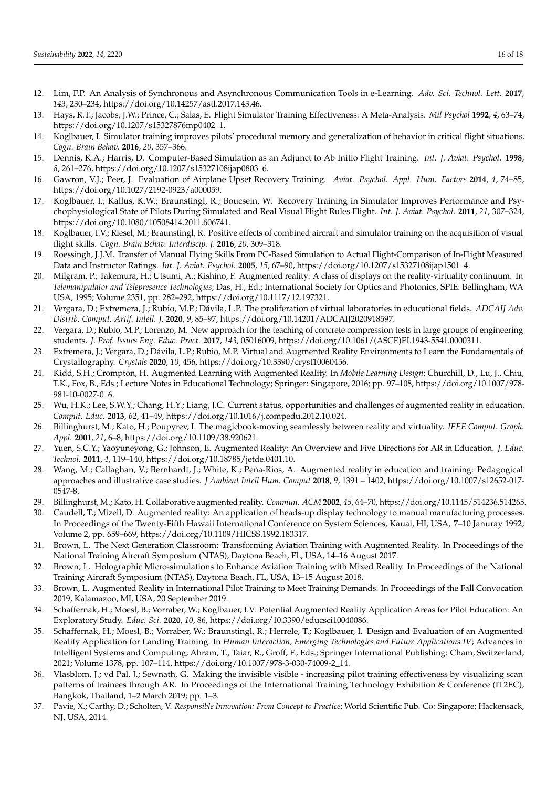- <span id="page-15-0"></span>12. Lim, F.P. An Analysis of Synchronous and Asynchronous Communication Tools in e-Learning. *Adv. Sci. Technol. Lett.* **2017**, *143*, 230–234, https://doi.org/10.14257/astl.2017.143.46.
- <span id="page-15-1"></span>13. Hays, R.T.; Jacobs, J.W.; Prince, C.; Salas, E. Flight Simulator Training Effectiveness: A Meta-Analysis. *Mil Psychol* **1992**, *4*, 63–74, https://doi.org/10.1207/s15327876mp0402\_1.
- <span id="page-15-2"></span>14. Koglbauer, I. Simulator training improves pilots' procedural memory and generalization of behavior in critical flight situations. *Cogn. Brain Behav.* **2016**, *20*, 357–366.
- <span id="page-15-3"></span>15. Dennis, K.A.; Harris, D. Computer-Based Simulation as an Adjunct to Ab Initio Flight Training. *Int. J. Aviat. Psychol.* **1998**, *8*, 261–276, https://doi.org/10.1207/s15327108ijap0803\_6.
- 16. Gawron, V.J.; Peer, J. Evaluation of Airplane Upset Recovery Training. *Aviat. Psychol. Appl. Hum. Factors* **2014**, *4*, 74–85, https://doi.org/10.1027/2192-0923/a000059.
- <span id="page-15-21"></span>17. Koglbauer, I.; Kallus, K.W.; Braunstingl, R.; Boucsein, W. Recovery Training in Simulator Improves Performance and Psychophysiological State of Pilots During Simulated and Real Visual Flight Rules Flight. *Int. J. Aviat. Psychol.* **2011**, *21*, 307–324, https://doi.org/10.1080/10508414.2011.606741.
- 18. Koglbauer, I.V.; Riesel, M.; Braunstingl, R. Positive effects of combined aircraft and simulator training on the acquisition of visual flight skills. *Cogn. Brain Behav. Interdiscip. J.* **2016**, *20*, 309–318.
- <span id="page-15-4"></span>19. Roessingh, J.J.M. Transfer of Manual Flying Skills From PC-Based Simulation to Actual Flight-Comparison of In-Flight Measured Data and Instructor Ratings. *Int. J. Aviat. Psychol.* **2005**, *15*, 67–90, https://doi.org/10.1207/s15327108ijap1501\_4.
- <span id="page-15-5"></span>20. Milgram, P.; Takemura, H.; Utsumi, A.; Kishino, F. Augmented reality: A class of displays on the reality-virtuality continuum. In *Telemanipulator and Telepresence Technologies*; Das, H., Ed.; International Society for Optics and Photonics, SPIE: Bellingham, WA USA, 1995; Volume 2351, pp. 282–292, https://doi.org/10.1117/12.197321.
- <span id="page-15-6"></span>21. Vergara, D.; Extremera, J.; Rubio, M.P.; Dávila, L.P. The proliferation of virtual laboratories in educational fields. *ADCAIJ Adv. Distrib. Comput. Artif. Intell. J.* **2020**, *9*, 85–97, https://doi.org/10.14201/ADCAIJ2020918597.
- <span id="page-15-13"></span>22. Vergara, D.; Rubio, M.P.; Lorenzo, M. New approach for the teaching of concrete compression tests in large groups of engineering students. *J. Prof. Issues Eng. Educ. Pract.* **2017**, *143*, 05016009, https://doi.org/10.1061/(ASCE)EI.1943-5541.0000311.
- <span id="page-15-7"></span>23. Extremera, J.; Vergara, D.; Dávila, L.P.; Rubio, M.P. Virtual and Augmented Reality Environments to Learn the Fundamentals of Crystallography. *Crystals* **2020**, *10*, 456, https://doi.org/10.3390/cryst10060456.
- <span id="page-15-8"></span>24. Kidd, S.H.; Crompton, H. Augmented Learning with Augmented Reality. In *Mobile Learning Design*; Churchill, D., Lu, J., Chiu, T.K., Fox, B., Eds.; Lecture Notes in Educational Technology; Springer: Singapore, 2016; pp. 97–108, https://doi.org/10.1007/978- 981-10-0027-0\_6.
- <span id="page-15-9"></span>25. Wu, H.K.; Lee, S.W.Y.; Chang, H.Y.; Liang, J.C. Current status, opportunities and challenges of augmented reality in education. *Comput. Educ.* **2013**, *62*, 41–49, https://doi.org/10.1016/j.compedu.2012.10.024.
- <span id="page-15-10"></span>26. Billinghurst, M.; Kato, H.; Poupyrev, I. The magicbook-moving seamlessly between reality and virtuality. *IEEE Comput. Graph. Appl.* **2001**, *21*, 6–8, https://doi.org/10.1109/38.920621.
- <span id="page-15-11"></span>27. Yuen, S.C.Y.; Yaoyuneyong, G.; Johnson, E. Augmented Reality: An Overview and Five Directions for AR in Education. *J. Educ. Technol.* **2011**, *4*, 119–140, https://doi.org/10.18785/jetde.0401.10.
- <span id="page-15-12"></span>28. Wang, M.; Callaghan, V.; Bernhardt, J.; White, K.; Peña-Rios, A. Augmented reality in education and training: Pedagogical approaches and illustrative case studies. *J Ambient Intell Hum. Comput* **2018**, *9*, 1391 – 1402, https://doi.org/10.1007/s12652-017- 0547-8.
- <span id="page-15-14"></span>29. Billinghurst, M.; Kato, H. Collaborative augmented reality. *Commun. ACM* **2002**, *45*, 64–70, https://doi.org/10.1145/514236.514265.
- <span id="page-15-15"></span>30. Caudell, T.; Mizell, D. Augmented reality: An application of heads-up display technology to manual manufacturing processes. In Proceedings of the Twenty-Fifth Hawaii International Conference on System Sciences, Kauai, HI, USA, 7–10 Januray 1992; Volume 2, pp. 659–669, https://doi.org/10.1109/HICSS.1992.183317.
- <span id="page-15-16"></span>31. Brown, L. The Next Generation Classroom: Transforming Aviation Training with Augmented Reality. In Proceedings of the National Training Aircraft Symposium (NTAS), Daytona Beach, FL, USA, 14–16 August 2017.
- 32. Brown, L. Holographic Micro-simulations to Enhance Aviation Training with Mixed Reality. In Proceedings of the National Training Aircraft Symposium (NTAS), Daytona Beach, FL, USA, 13–15 August 2018.
- 33. Brown, L. Augmented Reality in International Pilot Training to Meet Training Demands. In Proceedings of the Fall Convocation 2019, Kalamazoo, MI, USA, 20 September 2019.
- <span id="page-15-20"></span>34. Schaffernak, H.; Moesl, B.; Vorraber, W.; Koglbauer, I.V. Potential Augmented Reality Application Areas for Pilot Education: An Exploratory Study. *Educ. Sci.* **2020**, *10*, 86, https://doi.org/10.3390/educsci10040086.
- <span id="page-15-17"></span>35. Schaffernak, H.; Moesl, B.; Vorraber, W.; Braunstingl, R.; Herrele, T.; Koglbauer, I. Design and Evaluation of an Augmented Reality Application for Landing Training. In *Human Interaction, Emerging Technologies and Future Applications IV*; Advances in Intelligent Systems and Computing; Ahram, T., Taiar, R., Groff, F., Eds.; Springer International Publishing: Cham, Switzerland, 2021; Volume 1378, pp. 107–114, https://doi.org/10.1007/978-3-030-74009-2\_14.
- <span id="page-15-18"></span>36. Vlasblom, J.; vd Pal, J.; Sewnath, G. Making the invisible visible - increasing pilot training effectiveness by visualizing scan patterns of trainees through AR. In Proceedings of the International Training Technology Exhibition & Conference (IT2EC), Bangkok, Thailand, 1–2 March 2019; pp. 1–3.
- <span id="page-15-19"></span>37. Pavie, X.; Carthy, D.; Scholten, V. *Responsible Innovation: From Concept to Practice*; World Scientific Pub. Co: Singapore; Hackensack, NJ, USA, 2014.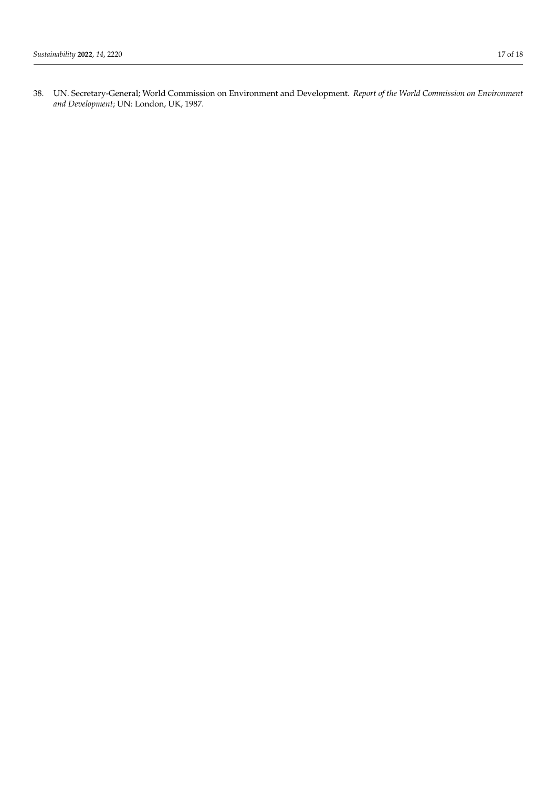<span id="page-16-0"></span>38. UN. Secretary-General; World Commission on Environment and Development. *Report of the World Commission on Environment and Development*; UN: London, UK, 1987.